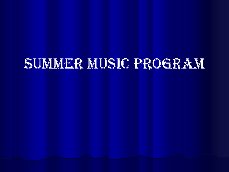## SUMMER MUSIC PROGRAM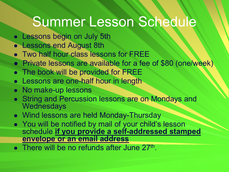## Summer Lesson Schedule

- Lessons begin on July 5th
- Lessons end August 8th
- Two half hour class lessons for FREE
- Private lessons are available for a fee of \$80 (one/week)
- The book will be provided for FREE
- Lessons are one-half hour in length
- No make-up lessons
- String and Percussion lessons are on Mondays and **Wednesdays**
- Wind lessons are held Monday-Thursday
- You will be notified by mail of your child's lesson schedule **if you provide a self-addressed stamped envelope or an email address**
- $\bullet$  There will be no refunds after June 27<sup>th</sup>.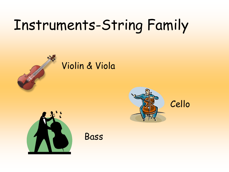# Instruments-String Family



## Violin & Viola





Bass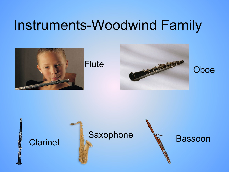## Instruments-Woodwind Family





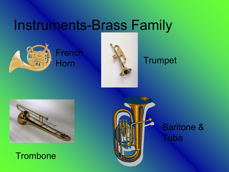## Instruments-Brass Family



French



### Horn **Trumpet**



#### **Trombone**



### Baritone & Tuba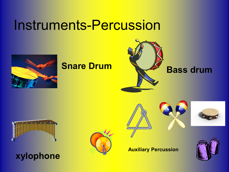## Instruments-Percussion











#### **Auxiliary Percussion**

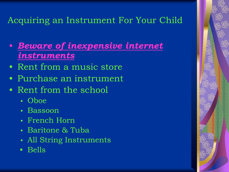#### Acquiring an Instrument For Your Child

- *Beware of inexpensive internet instruments*
- Rent from a music store
- Purchase an instrument
- Rent from the school
	- Oboe
	- Bassoon
	- French Horn
	- Baritone & Tuba
	- All String Instruments
	- Bells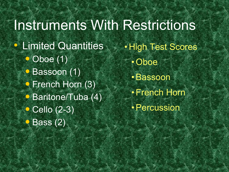## Instruments With Restrictions

- Limited Quantities Oboe (1)
	- Bassoon (1) • French Horn (3) • Baritone/Tuba (4) • Cello (2-3)
	- Bass (2)

• High Test Scores •Oboe •Bassoon •French Horn •Percussion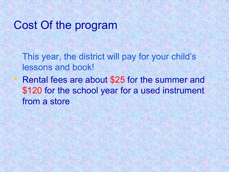### Cost Of the program

This year, the district will pay for your child's lessons and book!

• Rental fees are about \$25 for the summer and \$120 for the school year for a used instrument from a store